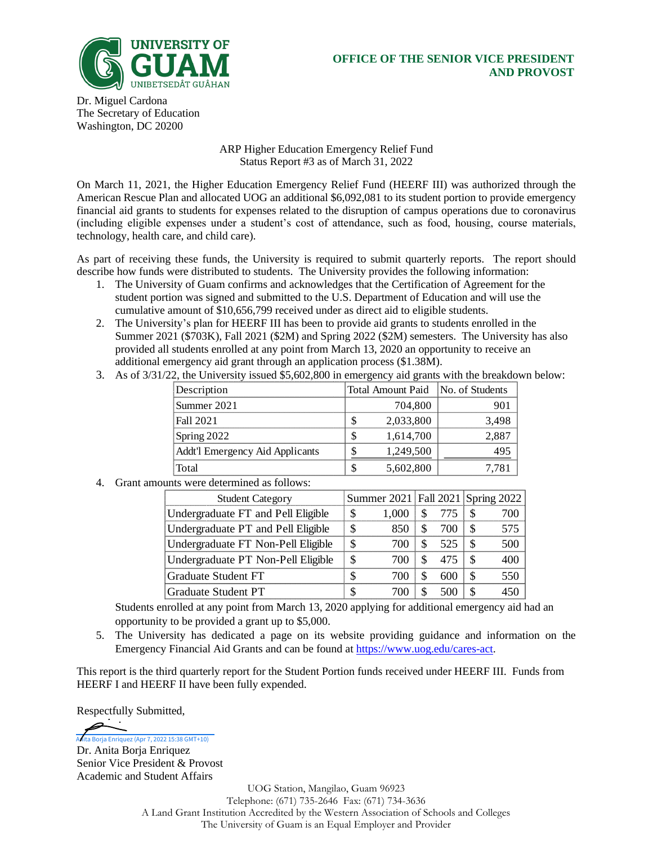

Dr. Miguel Cardona The Secretary of Education Washington, DC 20200

## ARP Higher Education Emergency Relief Fund Status Report #3 as of March 31, 2022

On March 11, 2021, the Higher Education Emergency Relief Fund (HEERF III) was authorized through the American Rescue Plan and allocated UOG an additional \$6,092,081 to its student portion to provide emergency financial aid grants to students for expenses related to the disruption of campus operations due to coronavirus (including eligible expenses under a student's cost of attendance, such as food, housing, course materials, technology, health care, and child care).

As part of receiving these funds, the University is required to submit quarterly reports. The report should describe how funds were distributed to students. The University provides the following information:

- 1. The University of Guam confirms and acknowledges that the Certification of Agreement for the student portion was signed and submitted to the U.S. Department of Education and will use the cumulative amount of \$10,656,799 received under as direct aid to eligible students.
- 2. The University's plan for HEERF III has been to provide aid grants to students enrolled in the Summer 2021 (\$703K), Fall 2021 (\$2M) and Spring 2022 (\$2M) semesters. The University has also provided all students enrolled at any point from March 13, 2020 an opportunity to receive an additional emergency aid grant through an application process (\$1.38M).

| Description                     |           | Total Amount Paid No. of Students |  |  |
|---------------------------------|-----------|-----------------------------------|--|--|
| Summer 2021                     | 704,800   |                                   |  |  |
| <b>Fall 2021</b>                | 2,033,800 |                                   |  |  |
| Spring 2022                     | 1.614.700 |                                   |  |  |
| Addt'l Emergency Aid Applicants | 1,249,500 |                                   |  |  |
| `otal                           | 5,602,800 |                                   |  |  |

3. As of 3/31/22, the University issued \$5,602,800 in emergency aid grants with the breakdown below:

|    |                                                | Description                                                                                                                                              |         | <b>Total Amount Paid</b> | No. of Students |    |             |
|----|------------------------------------------------|----------------------------------------------------------------------------------------------------------------------------------------------------------|---------|--------------------------|-----------------|----|-------------|
|    |                                                | Summer 2021                                                                                                                                              | 704,800 |                          | 901             |    |             |
|    |                                                | <b>Fall 2021</b>                                                                                                                                         | \$      | 2,033,800                |                 |    | 3,498       |
|    |                                                | Spring 2022                                                                                                                                              | \$      | 1,614,700                |                 |    | 2,887       |
|    |                                                | Addt'l Emergency Aid Applicants                                                                                                                          | \$      | 1,249,500                |                 |    | 495         |
|    |                                                | Total                                                                                                                                                    | \$      | 5,602,800                |                 |    | 7,781       |
| 4. |                                                | Grant amounts were determined as follows:                                                                                                                |         |                          |                 |    |             |
|    |                                                | <b>Student Category</b>                                                                                                                                  |         | Summer 2021              | Fall 2021       |    | Spring 2022 |
|    |                                                | Undergraduate FT and Pell Eligible                                                                                                                       | \$      | 1,000                    | \$<br>775       | \$ | 700         |
|    |                                                | Undergraduate PT and Pell Eligible                                                                                                                       | \$      | 850                      | \$<br>700       | \$ | 575         |
|    |                                                | Undergraduate FT Non-Pell Eligible                                                                                                                       | \$      | 700                      | \$<br>525       | \$ | 500         |
|    |                                                | Undergraduate PT Non-Pell Eligible                                                                                                                       | \$      | 700                      | \$<br>475       | \$ | 400         |
|    |                                                | <b>Graduate Student FT</b>                                                                                                                               | \$      | 700                      | \$<br>600       | \$ | 550         |
|    |                                                | <b>Graduate Student PT</b>                                                                                                                               | \$      | 700                      | \$<br>500       | \$ | 450         |
|    |                                                | Students enrolled at any point from March 13, 2020 applying for additional emergency aid b                                                               |         |                          |                 |    |             |
|    |                                                | opportunity to be provided a grant up to \$5,000.                                                                                                        |         |                          |                 |    |             |
| 5. |                                                | The University has dedicated a page on its website providing guidance and information                                                                    |         |                          |                 |    |             |
|    |                                                | Emergency Financial Aid Grants and can be found at https://www.uog.edu/cares-act.                                                                        |         |                          |                 |    |             |
|    |                                                | This report is the third quarterly report for the Student Portion funds received under HEERF III. Furn<br>HEERF I and HEERF II have been fully expended. |         |                          |                 |    |             |
|    | Respectfully Submitted,                        |                                                                                                                                                          |         |                          |                 |    |             |
|    | Mita Borja Enriquez (Apr 7, 2022 15:38 GMT+10) |                                                                                                                                                          |         |                          |                 |    |             |
|    | Dr. Anita Borja Enriquez                       |                                                                                                                                                          |         |                          |                 |    |             |
|    |                                                | Senior Vice President & Provost                                                                                                                          |         |                          |                 |    |             |
|    | Academic and Student Affairs                   |                                                                                                                                                          |         |                          |                 |    |             |

Students enrolled at any point from March 13, 2020 applying for additional emergency aid had an opportunity to be provided a grant up to \$5,000.

5. The University has dedicated a page on its website providing guidance and information on the Emergency Financial Aid Grants and can be found at [https://www.uog.edu/cares-act.](https://www.uog.edu/cares-act)

This report is the third quarterly report for the Student Portion funds received under HEERF III. Funds from HEERF I and HEERF II have been fully expended.

[Anita Borja Enriquez \(Apr 7, 2022 15:38 GMT+10\)](https://na2.documents.adobe.com/verifier?tx=CBJCHBCAABAAiEOrCyms93FKCeBtpWp4hkO2cR665R0N)

> UOG Station, Mangilao, Guam 96923 Telephone: (671) 735-2646 Fax: (671) 734-3636 A Land Grant Institution Accredited by the Western Association of Schools and Colleges The University of Guam is an Equal Employer and Provider